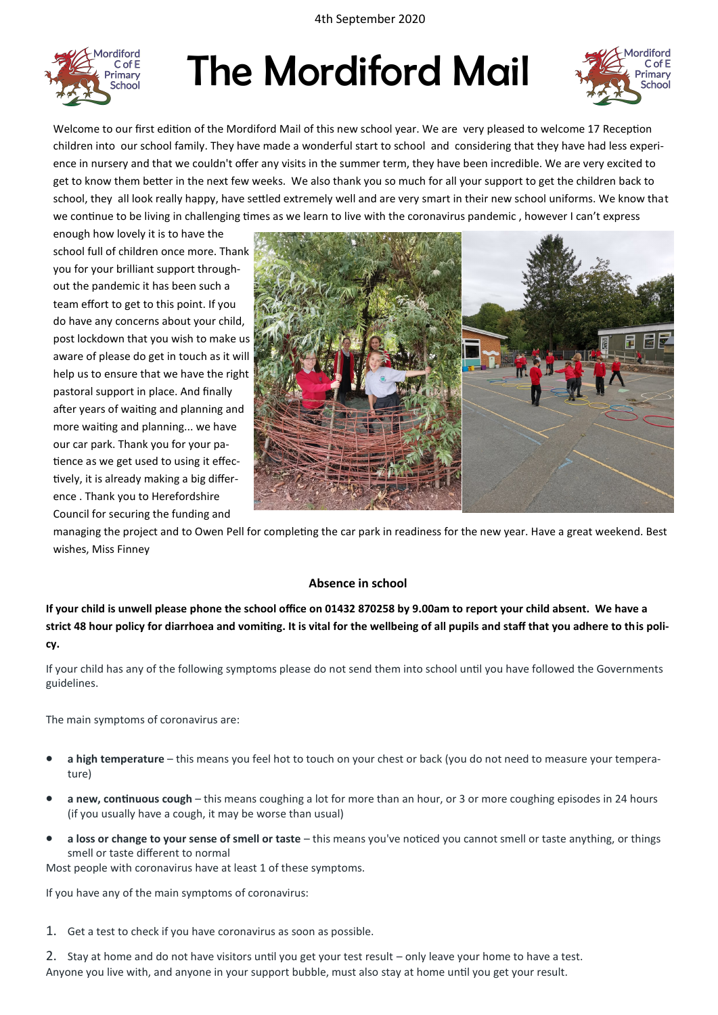

# The Mordiford Mail



Welcome to our first edition of the Mordiford Mail of this new school year. We are very pleased to welcome 17 Reception children into our school family. They have made a wonderful start to school and considering that they have had less experience in nursery and that we couldn't offer any visits in the summer term, they have been incredible. We are very excited to get to know them better in the next few weeks. We also thank you so much for all your support to get the children back to school, they all look really happy, have settled extremely well and are very smart in their new school uniforms. We know that we continue to be living in challenging times as we learn to live with the coronavirus pandemic, however I can't express

enough how lovely it is to have the school full of children once more. Thank you for your brilliant support throughout the pandemic it has been such a team effort to get to this point. If you do have any concerns about your child, post lockdown that you wish to make us aware of please do get in touch as it will help us to ensure that we have the right pastoral support in place. And finally after years of waiting and planning and more waiting and planning... we have our car park. Thank you for your patience as we get used to using it effectively, it is already making a big difference . Thank you to Herefordshire Council for securing the funding and



managing the project and to Owen Pell for completing the car park in readiness for the new year. Have a great weekend. Best wishes, Miss Finney

## **Absence in school**

**If your child is unwell please phone the school office on 01432 870258 by 9.00am to report your child absent. We have a strict 48 hour policy for diarrhoea and vomiting. It is vital for the wellbeing of all pupils and staff that you adhere to this policy.** 

If your child has any of the following symptoms please do not send them into school until you have followed the Governments guidelines.

The main symptoms of coronavirus are:

- **a high temperature** this means you feel hot to touch on your chest or back (you do not need to measure your temperature)
- **a new, continuous cough** this means coughing a lot for more than an hour, or 3 or more coughing episodes in 24 hours (if you usually have a cough, it may be worse than usual)
- **a loss or change to your sense of smell or taste** this means you've noticed you cannot smell or taste anything, or things smell or taste different to normal

Most people with coronavirus have at least 1 of these symptoms.

If you have any of the main symptoms of coronavirus:

- 1. Get a test to check if you have coronavirus as soon as possible.
- 2. Stay at home and do not have visitors until you get your test result only leave your home to have a test. Anyone you live with, and anyone in your support bubble, must also stay at home until you get your result.